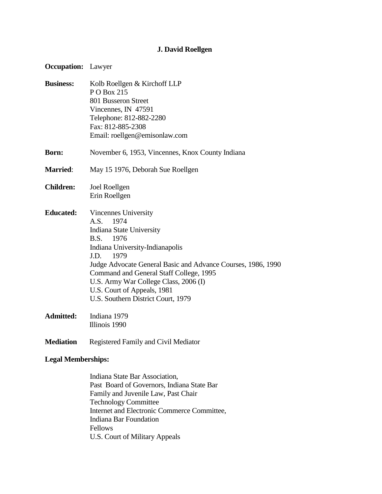## **J. David Roellgen**

| <b>Occupation:</b>        | Lawyer                                                                                                                                                                                                                                                                                                                                                        |
|---------------------------|---------------------------------------------------------------------------------------------------------------------------------------------------------------------------------------------------------------------------------------------------------------------------------------------------------------------------------------------------------------|
| <b>Business:</b>          | Kolb Roellgen & Kirchoff LLP<br>PO Box 215<br>801 Busseron Street<br>Vincennes, IN 47591<br>Telephone: 812-882-2280<br>Fax: 812-885-2308<br>Email: roellgen@emisonlaw.com                                                                                                                                                                                     |
| <b>Born:</b>              | November 6, 1953, Vincennes, Knox County Indiana                                                                                                                                                                                                                                                                                                              |
| <b>Married:</b>           | May 15 1976, Deborah Sue Roellgen                                                                                                                                                                                                                                                                                                                             |
| <b>Children:</b>          | Joel Roellgen<br>Erin Roellgen                                                                                                                                                                                                                                                                                                                                |
| <b>Educated:</b>          | Vincennes University<br>A.S. 1974<br><b>Indiana State University</b><br>B.S. 1976<br>Indiana University-Indianapolis<br>J.D.<br>1979<br>Judge Advocate General Basic and Advance Courses, 1986, 1990<br>Command and General Staff College, 1995<br>U.S. Army War College Class, 2006 (I)<br>U.S. Court of Appeals, 1981<br>U.S. Southern District Court, 1979 |
| <b>Admitted:</b>          | Indiana 1979<br>Illinois 1990                                                                                                                                                                                                                                                                                                                                 |
| <b>Mediation</b>          | Registered Family and Civil Mediator                                                                                                                                                                                                                                                                                                                          |
| <b>Legal Memberships:</b> |                                                                                                                                                                                                                                                                                                                                                               |
|                           | Indiana State Bar Association                                                                                                                                                                                                                                                                                                                                 |

Indiana State Bar Association, Past Board of Governors, Indiana State Bar Family and Juvenile Law, Past Chair Technology Committee Internet and Electronic Commerce Committee, Indiana Bar Foundation Fellows U.S. Court of Military Appeals